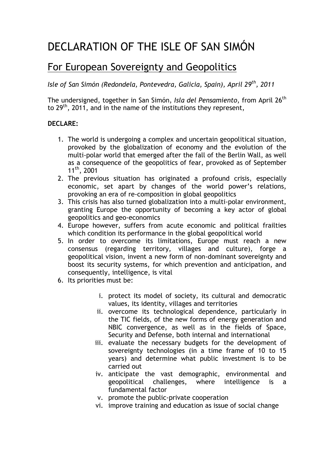## DECLARATION OF THE ISLE OF SAN SIMÓN

## For European Sovereignty and Geopolitics

*Isle of San Simón (Redondela, Pontevedra, Galicia, Spain), April 29th, 2011*

The undersigned, together in San Simón, *Isla del Pensamiento*, from April 26th to  $29<sup>th</sup>$ , 2011, and in the name of the institutions they represent,

## **DECLARE:**

- 1. The world is undergoing a complex and uncertain geopolitical situation, provoked by the globalization of economy and the evolution of the multi-polar world that emerged after the fall of the Berlin Wall, as well as a consequence of the geopolitics of fear, provoked as of September 11th, 2001
- 2. The previous situation has originated a profound crisis, especially economic, set apart by changes of the world power's relations, provoking an era of re-composition in global geopolitics
- 3. This crisis has also turned globalization into a multi-polar environment, granting Europe the opportunity of becoming a key actor of global geopolitics and geo-economics
- 4. Europe however, suffers from acute economic and political frailties which condition its performance in the global geopolitical world
- 5. In order to overcome its limitations, Europe must reach a new consensus (regarding territory, villages and culture), forge a geopolitical vision, invent a new form of non-dominant sovereignty and boost its security systems, for which prevention and anticipation, and consequently, intelligence, is vital
- 6. Its priorities must be:
	- i. protect its model of society, its cultural and democratic values, its identity, villages and territories
	- ii. overcome its technological dependence, particularly in the TIC fields, of the new forms of energy generation and NBIC convergence, as well as in the fields of Space, Security and Defense, both internal and international
	- iii. evaluate the necessary budgets for the development of sovereignty technologies (in a time frame of 10 to 15 years) and determine what public investment is to be carried out
	- iv. anticipate the vast demographic, environmental and geopolitical challenges, where intelligence is a fundamental factor
	- v. promote the public-private cooperation
	- vi. improve training and education as issue of social change